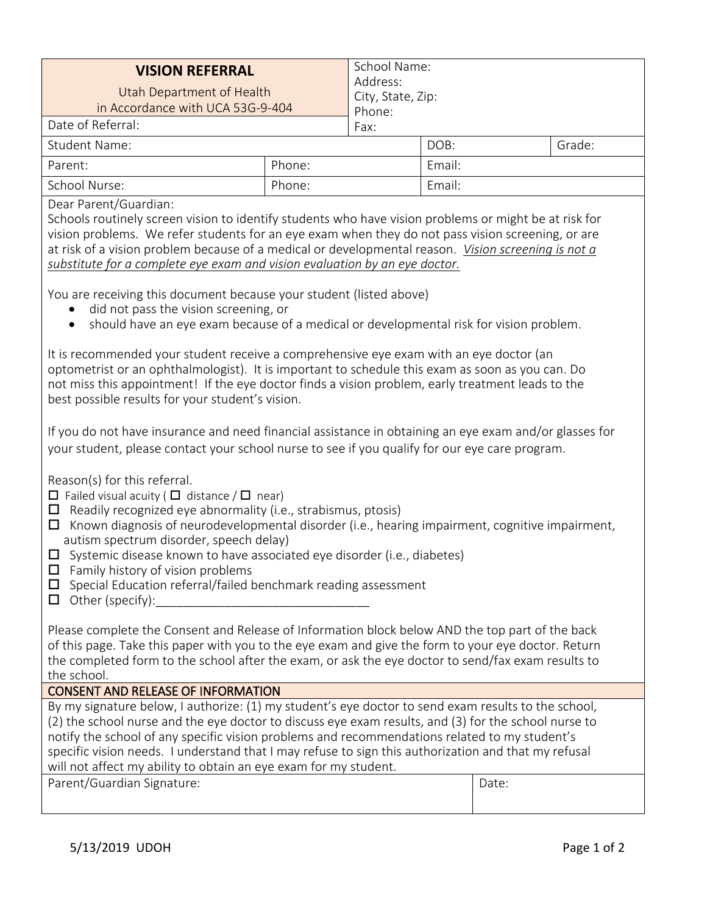| <b>VISION REFERRAL</b><br>Utah Department of Health<br>in Accordance with UCA 53G-9-404 |        | School Name:<br>Address:<br>City, State, Zip:<br>Phone: |        |        |  |
|-----------------------------------------------------------------------------------------|--------|---------------------------------------------------------|--------|--------|--|
| Date of Referral:                                                                       |        | Fax:                                                    |        |        |  |
| <b>Student Name:</b>                                                                    |        |                                                         | DOB:   | Grade: |  |
| Parent:                                                                                 | Phone: |                                                         | Email: |        |  |
| School Nurse:                                                                           | Phone: |                                                         | Email: |        |  |

Dear Parent/Guardian:

Schools routinely screen vision to identify students who have vision problems or might be at risk for vision problems. We refer students for an eye exam when they do not pass vision screening, or are at risk of a vision problem because of a medical or developmental reason. *Vision screening is not a substitute for a complete eye exam and vision evaluation by an eye doctor.*

You are receiving this document because your student (listed above)

- did not pass the vision screening, or
- should have an eye exam because of a medical or developmental risk for vision problem.

It is recommended your student receive a comprehensive eye exam with an eye doctor (an optometrist or an ophthalmologist). It is important to schedule this exam as soon as you can. Do not miss this appointment! If the eye doctor finds a vision problem, early treatment leads to the best possible results for your student's vision.

If you do not have insurance and need financial assistance in obtaining an eye exam and/or glasses for your student, please contact your school nurse to see if you qualify for our eye care program.

Reason(s) for this referral.

- $\Box$  Failed visual acuity ( $\Box$  distance /  $\Box$  near)
- $\Box$  Readily recognized eye abnormality (i.e., strabismus, ptosis)
- $\Box$  Known diagnosis of neurodevelopmental disorder (i.e., hearing impairment, cognitive impairment, autism spectrum disorder, speech delay)
- $\Box$  Systemic disease known to have associated eye disorder (i.e., diabetes)
- $\Box$  Family history of vision problems
- $\square$  Special Education referral/failed benchmark reading assessment
- $\Box$  Other (specify):

Please complete the Consent and Release of Information block below AND the top part of the back of this page. Take this paper with you to the eye exam and give the form to your eye doctor. Return the completed form to the school after the exam, or ask the eye doctor to send/fax exam results to the school.

## CONSENT AND RELEASE OF INFORMATION

By my signature below, I authorize: (1) my student's eye doctor to send exam results to the school, (2) the school nurse and the eye doctor to discuss eye exam results, and (3) for the school nurse to notify the school of any specific vision problems and recommendations related to my student's specific vision needs. I understand that I may refuse to sign this authorization and that my refusal will not affect my ability to obtain an eye exam for my student.

| Parent/Guardian Signature: |  | Date: |
|----------------------------|--|-------|
|----------------------------|--|-------|

|--|